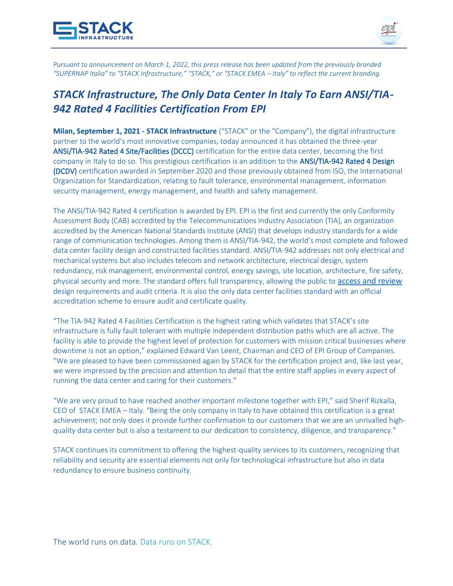



*Pursuant to announcement on March 1, 2022, this press release has been updated from the previously branded "SUPERNAP Italia" to "STACK Infrastructure," "STACK," or "STACK EMEA – Italy" to reflect the current branding.*

## *STACK Infrastructure, The Only Data Center In Italy To Earn ANSI/TIA-942 Rated 4 Facilities Certification From EPI*

**Milan, September 1, 2021 - STACK Infrastructure** ("STACK" or the "Company"), the digital infrastructure partner to the world's most innovative companies, today announced it has obtained the three-year ANSI/TIA-942 Rated 4 Site/Facilities (DCCC) certification for the entire data center, becoming the first company in Italy to do so. This prestigious certification is an addition to the ANSI/TIA-942 Rated 4 Design (DCDV) certification awarded in September 2020 and those previously obtained from ISO, the International Organization for Standardization, relating to fault tolerance, environmental management, information security management, energy management, and health and safety management.

The ANSI/TIA-942 Rated 4 certification is awarded by EPI. EPI is the first and currently the only Conformity Assessment Body (CAB) accredited by the Telecommunications Industry Association (TIA), an organization accredited by the American National Standards Institute (ANSI) that develops industry standards for a wide range of communication technologies. Among them is ANSI/TIA-942, the world's most complete and followed data center facility design and constructed facilities standard. ANSI/TIA-942 addresses not only electrical and mechanical systems but also includes telecom and network architecture, electrical design, system redundancy, risk management, environmental control, energy savings, site location, architecture, fire safety, physical security and more. The standard offers full transparency, allowing the public to [access and review](https://tiaonline.org/942-datacenters/?fwp_regions=western-europe&fwp_ratings_level=4) design requirements and audit criteria. It is also the only data center facilities standard with an official accreditation scheme to ensure audit and certificate quality.

"The TIA-942 Rated 4 Facilities Certification is the highest rating which validates that STACK's site infrastructure is fully fault tolerant with multiple independent distribution paths which are all active. The facility is able to provide the highest level of protection for customers with mission critical businesses where downtime is not an option," explained Edward Van Leent, Chairman and CEO of EPI Group of Companies. "We are pleased to have been commissioned again by STACK for the certification project and, like last year, we were impressed by the precision and attention to detail that the entire staff applies in every aspect of running the data center and caring for their customers."

"We are very proud to have reached another important milestone together with EPI," said Sherif Rizkalla, CEO of STACK EMEA – Italy. "Being the only company in Italy to have obtained this certification is a great achievement; not only does it provide further confirmation to our customers that we are an unrivalled highquality data center but is also a testament to our dedication to consistency, diligence, and transparency."

STACK continues its commitment to offering the highest-quality services to its customers, recognizing that reliability and security are essential elements not only for technological infrastructure but also in data redundancy to ensure business continuity.